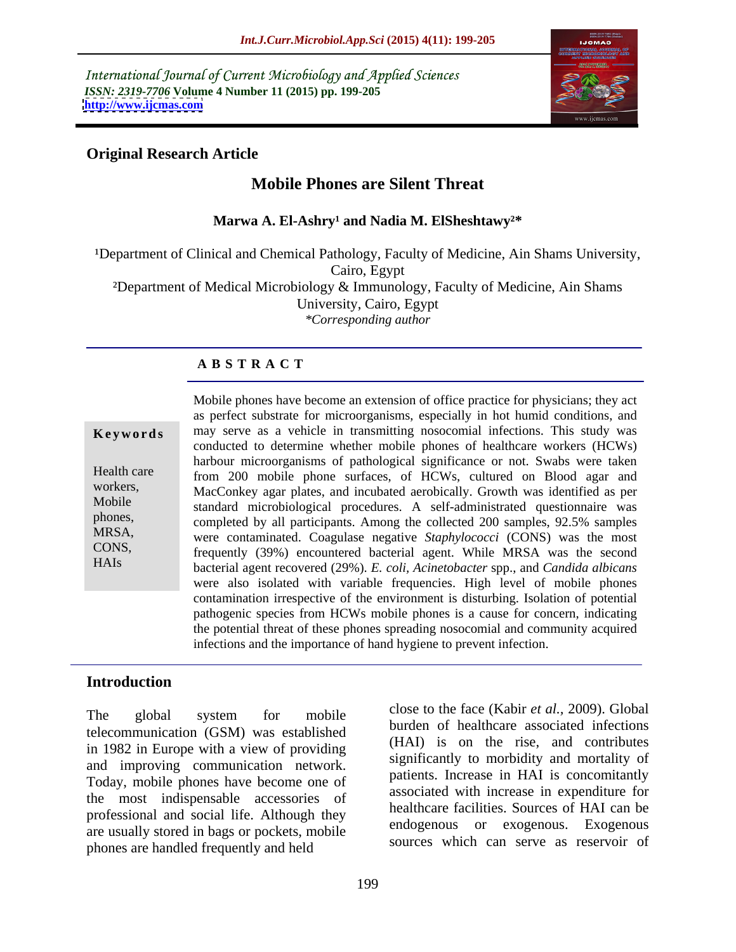International Journal of Current Microbiology and Applied Sciences *ISSN: 2319-7706* **Volume 4 Number 11 (2015) pp. 199-205 <http://www.ijcmas.com>**



# **Original Research Article**

# **Mobile Phones are Silent Threat**

Marwa A. El-Ashry<sup>1</sup> and Nadia M. ElSheshtawy<sup>2\*</sup>

<sup>1</sup>Department of Clinical and Chemical Pathology, Faculty of Medicine, Ain Shams University, Cairo, Egypt ²Department of Medical Microbiology & Immunology, Faculty of Medicine, Ain Shams University, Cairo, Egypt *\*Corresponding author*

# **A B S T R A C T**

| Keywords                                     |
|----------------------------------------------|
| Health care<br>workers,<br>Mobile<br>phones, |
| MRSA,<br>CONS,<br>HAIs                       |

Mobile phones have become an extension of office practice for physicians; they act as perfect substrate for microorganisms, especially in hot humid conditions, and **Keywords** may serve as a vehicle in transmitting nosocomial infections. This study was conducted to determine whether mobile phones of healthcare workers (HCWs) harbour microorganisms of pathological significance or not. Swabs were taken Health care from 200 mobile phone surfaces, of HCWs, cultured on Blood agar and workers,<br>MacConkey agar plates, and incubated aerobically. Growth was identified as per Mobile<br>
standard microbiological procedures. A self-administrated questionnaire was phones,<br>
completed by all participants. Among the collected 200 samples, 92.5% samples were contaminated. Coagulase negative *Staphylococci* (CONS) was the most MRSA, frequently (39%) encountered bacterial agent. While MRSA was the second CONS, bacterial agent recovered (29%). *E. coli, Acinetobacter* spp., and *Candida albicans* were also isolated with variable frequencies. High level of mobile phones contamination irrespective of the environment is disturbing. Isolation of potential pathogenic species from HCWs mobile phones is a cause for concern, indicating the potential threat of these phones spreading nosocomial and community acquired infections and the importance of hand hygiene to prevent infection.

## **Introduction**

telecommunication (GSM) was established in 1982 in Europe with a view of providing and improving communication network. Today, mobile phones have become one of the most indispensable accessories of professional and social life. Although they are usually stored in bags or pockets, mobile phones are handled frequently and held

The global system for mobile  $\frac{1}{2}$  the latter  $\frac{1}{2}$  contract  $\frac{1}{2}$  (Nable *al.*, 2009). Oldbar close to the face (Kabir *et al.,* 2009). Global burden of healthcare associated infections (HAI) is on the rise, and contributes significantly to morbidity and mortality of patients. Increase in HAI is concomitantly associated with increase in expenditure for healthcare facilities. Sources of HAI can be endogenous or exogenous. Exogenous sources which can serve as reservoir of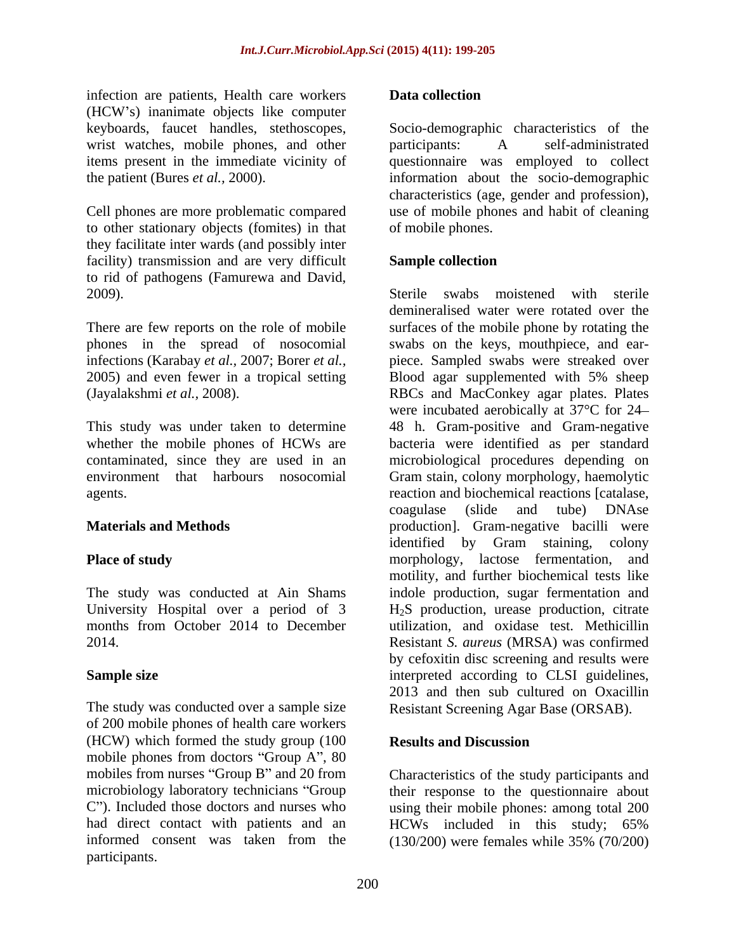infection are patients, Health care workers **Data collection** (HCW s) inanimate objects like computer wrist watches, mobile phones, and other participants: A self-administrated

to other stationary objects (fomites) in that they facilitate inter wards (and possibly inter facility) transmission and are very difficult **Sample collection** to rid of pathogens (Famurewa and David,<br>2009). Sterile swabs moistened with sterile

There are few reports on the role of mobile phones in the spread of nosocomial

University Hospital over a period of 3<br>months from October 2014 to December

The study was conducted over a sample size of 200 mobile phones of health care workers (HCW) which formed the study group (100 Results and Discussion mobile phones from doctors "Group A", 80 mobiles from nurses "Group B" and 20 from microbiology laboratory technicians "Group their response to the questionnaire about C"). Included those doctors and nurses who using their mobile phones: among total 200 had direct contact with patients and an HCWs included in this study; 65% informed consent was taken from the (130/200) were females while 35% (70/200) participants.

### **Data collection**

keyboards, faucet handles, stethoscopes, Socio-demographic characteristics of the items present in the immediate vicinity of questionnaire was employed to collect the patient (Bures *et al.,* 2000). information about the socio-demographic Cell phones are more problematic compared use of mobile phones and habit of cleaning participants: A self-administrated characteristics (age, gender and profession), of mobile phones.

### **Sample collection**

infections (Karabay *et al.,* 2007; Borer *et al.,* piece. Sampled swabs were streaked over 2005) and even fewer in a tropical setting Blood agar supplemented with 5% sheep (Jayalakshmi *et al.,* 2008). RBCs and MacConkey agar plates. Plates This study was under taken to determine 48 h.Gram-positive and Gram-negative whether the mobile phones of HCWs are bacteria were identified as per standard contaminated, since they are used in an microbiological procedures depending on environment that harbours nosocomial Gram stain, colony morphology, haemolytic agents. reaction and biochemical reactions [catalase, **Materials and Methods production** [1]. Gram-negative bacilli were **Place of study example 10 morphology**, lactose fermentation, and The study was conducted at Ain Shams indole production, sugar fermentation and months from October 2014 to December utilization, and oxidase test. Methicillin 2014. Resistant *S. aureus* (MRSA) was confirmed **Sample size** The state of the state of the state interpreted according to CLSI guidelines, Sterile swabs moistened with sterile demineralised water were rotated over the surfaces of the mobile phone by rotating the swabs on the keys, mouthpiece, and ear were incubated aerobically at 37°C for 24 coagulase (slide and tube) DNAse identified by Gram staining, colony motility, and further biochemical tests like H2S production, urease production, citrate by cefoxitin disc screening and results were 2013 and then sub cultured on Oxacillin Resistant Screening Agar Base (ORSAB).

### **Results and Discussion**

Characteristics of the study participants and HCWs included in this study; 65% (130/200) were females while 35% (70/200)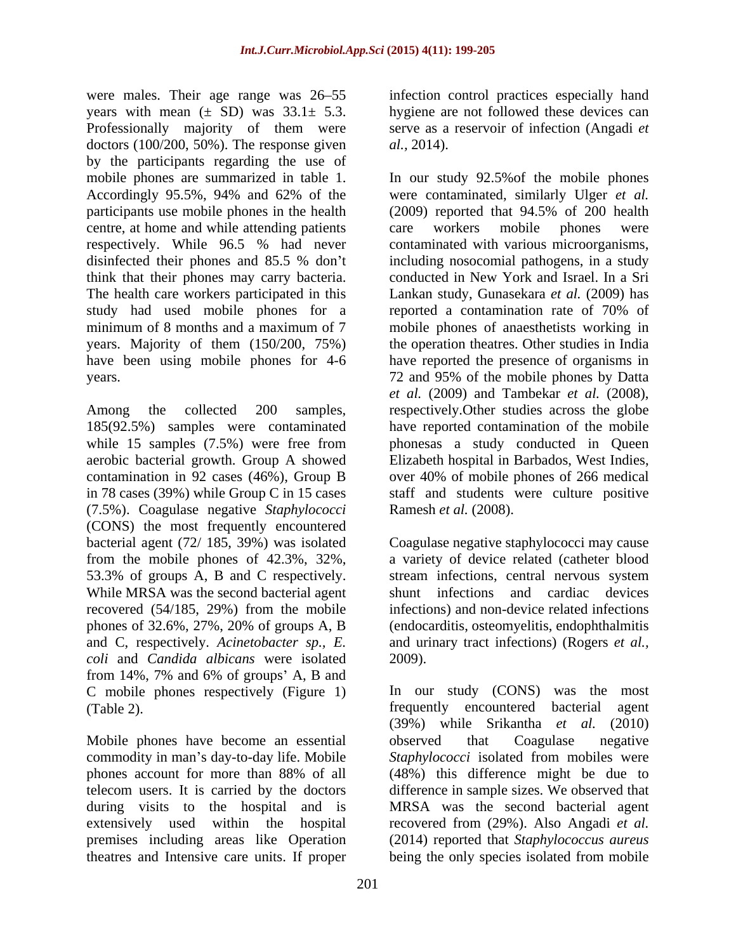were males. Their age range was 26–55 years with mean  $(\pm$  SD) was  $33.1 \pm 5.3$ . Professionally majority of them were serve as a reservoir of infection (Angadi *et* doctors  $(100/200, 50\%)$ . The response given *al.*, 2014). by the participants regarding the use of Accordingly 95.5%, 94% and 62% of the centre, at home and while attending patients care workers mobile phones were think that their phones may carry bacteria. study had used mobile phones for a reported a contamination rate of 70% of have been using mobile phones for 4-6

(7.5%). Coagulase negative *Staphylococci* (CONS) the most frequently encountered bacterial agent (72/ 185, 39%) was isolated Coagulase negative staphylococci may cause from the mobile phones of 42.3%, 32%, a variety of device related (catheter blood 53.3% of groups A, B and C respectively. stream infections, central nervous system While MRSA was the second bacterial agent recovered (54/185, 29%) from the mobile phones of 32.6%, 27%, 20% of groups A, B and C, respectively. *Acinetobacter sp., E.* and urinary tract infections) (Rogers *et al., coli* and *Candida albicans* were isolated from  $14\%$ , 7% and 6% of groups' A, B and C mobile phones respectively (Figure 1) In our study (CONS) was the Cable 2).

Mobile phones have become an essential observed that Coagulase negative theatres and Intensive care units. If proper being the only species isolated from mobile

infection control practices especially hand hygiene are not followed these devices can *al.,* 2014).

mobile phones are summarized in table 1. In our study 92.5%of the mobile phones participants use mobile phones in the health (2009) reported that 94.5% of 200 health respectively. While 96.5 % had never contaminated with various microorganisms, disinfected their phones and 85.5 % don't including nosocomial pathogens, in a study The health care workers participated in this Lankan study, Gunasekara *et al.* (2009) has minimum of 8 months and a maximum of 7 mobile phones of anaesthetists working in years. Majority of them (150/200, 75%) the operation theatres. Other studies in India years. 72 and 95% of the mobile phones by Datta Among the collected 200 samples, respectively.Other studies across the globe 185(92.5%) samples were contaminated have reported contamination of the mobile while 15 samples (7.5%) were free from phonesas a study conducted in Queen aerobic bacterial growth. Group A showed Elizabeth hospital in Barbados, West Indies, contamination in 92 cases (46%), Group B over 40% of mobile phones of 266 medical in 78 cases (39%) while Group C in 15 cases staff and students were culture positive were contaminated, similarly Ulger *et al.* care workers mobile phones were conducted in New York and Israel. In a Sri reported a contamination rate of 70% of have reported the presence of organisms in *et al.* (2009) and Tambekar *et al.* (2008), Ramesh *et al.* (2008).

> shunt infections and cardiac devices infections) and non-device related infections (endocarditis, osteomyelitis, endophthalmitis 2009).

(Table 2). frequently encountered bacterial agent commodity in man's day-to-day life. Mobile Staphylococci isolated from mobiles were phones account for more than 88% of all (48%) this difference might be due to telecom users. It is carried by the doctors difference in sample sizes. We observed that during visits to the hospital and is MRSA was the second bacterial agent extensively used within the hospital recovered from (29%). Also Angadi *et al.* premises including areas like Operation (2014) reported that *Staphylococcus aureus* In our study (CONS) was the most (39%) while Srikantha *et al.* (2010) observed that Coagulase negative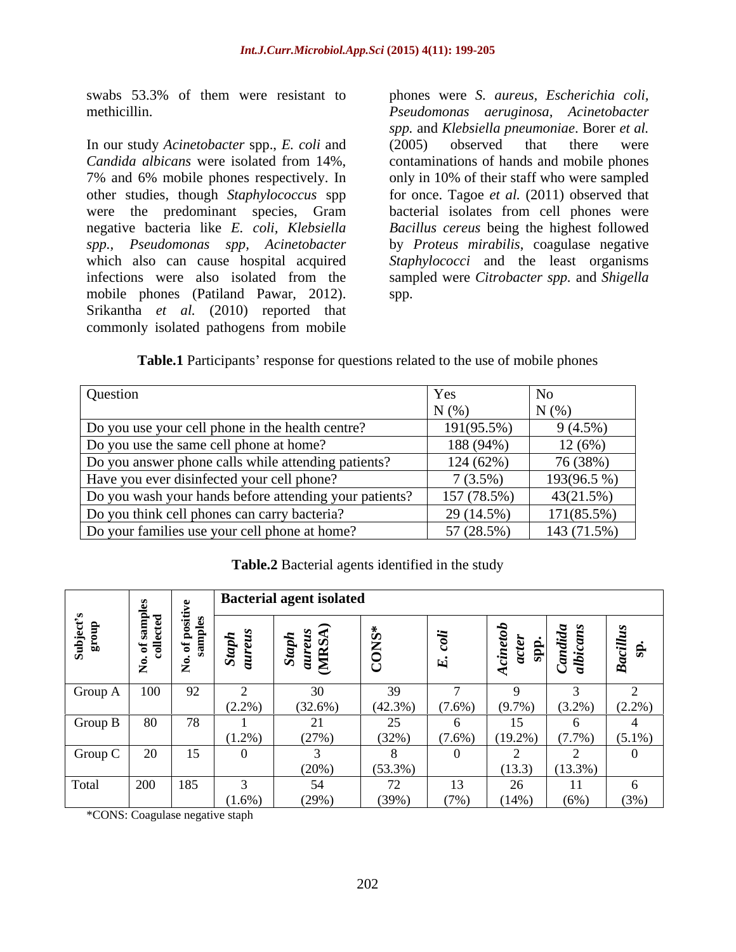swabs 53.3% of them were resistant to phones were *S. aureus, Escherichia coli,* 

In our study *Acinetobacter* spp., *E. coli* and *Candida albicans* were isolated from 14%, 7% and 6% mobile phones respectively. In only in 10% of their staff who were sampled other studies, though *Staphylococcus* spp for once. Tagoe *et al.* (2011) observed that were the predominant species, Gram negative bacteria like *E. coli, Klebsiella Bacillus cereus* being the highest followed *spp., Pseudomonas spp, Acinetobacter* by *Proteus mirabilis*, coagulase negative which also can cause hospital acquired *Staphylococci* and the least organisms infections were also isolated from the sampled were *Citrobacter spp.* and *Shigella* mobile phones (Patiland Pawar, 2012). Srikantha *et al.* (2010) reported that commonly isolated pathogens from mobile

methicillin. *Pseudomonas aeruginosa, Acinetobacter spp.* and *Klebsiella pneumoniae*. Borer *et al.* (2005) observed that there were contaminations of hands and mobile phones bacterial isolates from cell phones were spp.

**Table.1** Participants' response for questions related to the use of mobile phones

| Question                                               | Yes         | N <sub>0</sub> |
|--------------------------------------------------------|-------------|----------------|
|                                                        | N(%         | N(%            |
| Do you use your cell phone in the health centre?       | 191(95.5%)  | 9(4.5%)        |
| Do you use the same cell phone at home?                | 188 (94%)   | $12(6\%)$      |
| Do you answer phone calls while attending patients?    | 124 (62%)   | 76 (38%)       |
| Have you ever disinfected your cell phone?             | 7(3.5%)     | $193(96.5\%)$  |
| Do you wash your hands before attending your patients? | 157 (78.5%) | 43(21.5%)      |
| Do you think cell phones can carry bacteria?           | 29 (14.5%)  | $171(85.5\%)$  |
| Do your families use your cell phone at home?          | 57 (28.5%)  | 143 (71.5%)    |

**Table.2** Bacterial agents identified in the study

|                                                                              | $\sim$                 |                                      |           | Bacterial agent isolated            |                   |            |                                |                           |      |
|------------------------------------------------------------------------------|------------------------|--------------------------------------|-----------|-------------------------------------|-------------------|------------|--------------------------------|---------------------------|------|
|                                                                              | $\mathbf{e}$ a<br>`ಕ ಕ |                                      |           | $\ddot{m}$<br>$\tilde{\phantom{a}}$ |                   |            | ະ ສ⊩                           | $\sim$ $\sim$<br>$\sigma$ |      |
| $\begin{array}{ c c c c c c c c c } \hline \text{Group A} & 100 \end{array}$ |                        | $\alpha$<br>$\overline{\phantom{a}}$ | $(2.2\%)$ | JV.<br>$(32.6\%)$                   | $(42.3\%)$        | $(7.6\%)$  | $(9.7\%)$ $(3.2\%)$ $(2.2\%)$  |                           |      |
| Group B                                                                      | 180                    | $\sqrt{2}$                           | $(1.2\%)$ | (27%)                               | 25<br>(32%)       | $(7.6\%)$  | $(19.2\%)$ $(7.7\%)$ $(5.1\%)$ |                           |      |
| Group $C$                                                                    | $\Omega$<br>$\angle U$ | $\overline{1}$                       |           | $(20\%)$                            | $(53.3\%)$        |            |                                | $(13.3)$ $(13.3\%)$       |      |
| Total                                                                        | 200                    | 185                                  | $(1.6\%)$ | 54<br>(29%)                         | 70<br>12<br>(39%) | 13<br>(7%) | $\Delta$<br>$(14\%)$           | (6%)                      | (3%) |

\*CONS: Coagulase negative staph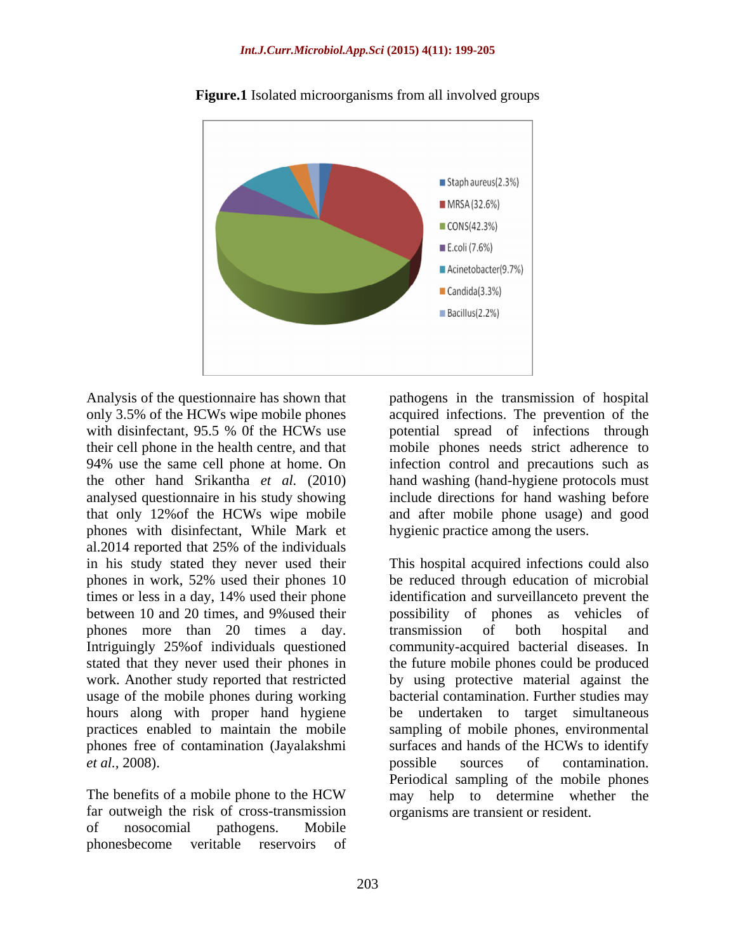

**Figure.1** Isolated microorganisms from all involved groups

phones with disinfectant, While Mark et al.2014 reported that 25% of the individuals between 10 and 20 times, and 9%used their phones more than 20 times a day. It transmission of both hospital and hours along with proper hand hygiene be phones free of contamination (Jayalakshmi

far outweigh the risk of cross-transmission of nosocomial pathogens. Mobile phonesbecome veritable reservoirs of

Analysis of the questionnaire has shown that pathogens in the transmission of hospital only 3.5% of the HCWs wipe mobile phones acquired infections. The prevention of the with disinfectant, 95.5 % Of the HCWs use potential spread of infections through their cell phone in the health centre, and that mobile phones needs strict adherence to 94% use the same cell phone at home. On infection control and precautions such as the other hand Srikantha *et al.* (2010) hand washing (hand-hygiene protocols must analysed questionnaire in his study showing include directions for hand washing before that only 12%of the HCWs wipe mobile and after mobile phone usage) and good potential spread of infections through hygienic practice among the users.

in his study stated they never used their This hospital acquired infectionscould also phones in work, 52% used their phones 10 be reduced through education of microbial times or less in a day, 14% used their phone identification and surveillance to prevent the Intriguingly 25%of individuals questioned community-acquired bacterial diseases. In stated that they never used their phones in the future mobile phones could be produced work. Another study reported that restricted by using protective material against the usage of the mobile phones during working bacterial contamination. Further studies may practices enabled to maintain the mobile sampling of mobile phones, environmental *et al.*, 2008). **Example 2008 possible** sources of contamination. The benefits of a mobile phone to the HCW may help to determine whether the identification and surveillanceto prevent the possibility of phones as transmission of both hospital and be undertaken to target simultaneous surfaces and hands of the HCWs to identify possible sources of contamination. Periodical sampling of the mobile phones may help to determine whether the organisms are transient or resident.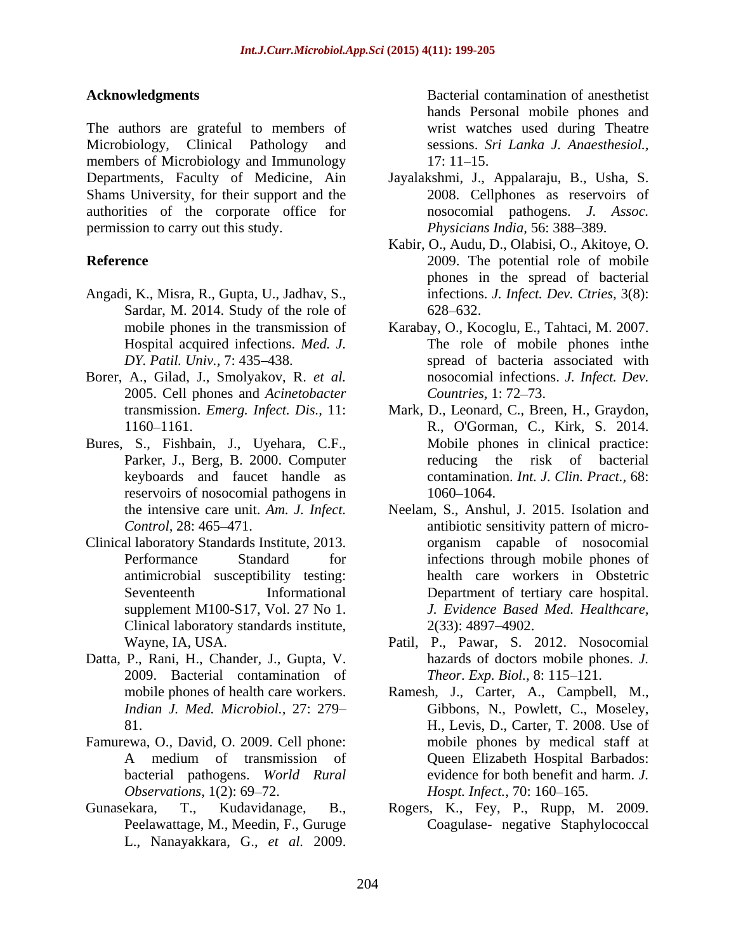The authors are grateful to members of Microbiology, Clinical Pathology and members of Microbiology and Immunology 17: 11–15. Departments, Faculty of Medicine, Ain Jayalakshmi, J., Appalaraju, B., Usha, S. Shams University, for their support and the authorities of the corporate office for permission to carry out this study.

- Angadi, K., Misra, R., Gupta, U., Jadhav, S., Sardar, M. 2014. Study of the role of 628–632.
- 2005. Cell phones and *Acinetobacter*
- Bures, S., Fishbain, J., Uyehara, C.F., Parker, J., Berg, B. 2000. Computer reservoirs of nosocomial pathogens in  $1060-1064$ .
- antimicrobial susceptibility testing: Clinical laboratory standards institute,  $2(33)$ : 4897–4902.
- Datta, P., Rani, H., Chander, J., Gupta, V. 2009. Bacterial contamination of
- Famurewa, O., David, O. 2009. Cell phone:
- Gunasekara, T., Kudavidanage, B., Rogers, K., Fey, P., Rupp, M. 2009. L., Nanayakkara, G., *et al.* 2009.

**Acknowledgments** Bacterial contamination of anesthetist hands Personal mobile phones and wrist watches used during Theatre sessions. *Sri Lanka J. Anaesthesiol.,* 17: 11–15.

- 2008. Cellphones as reservoirs of nosocomial pathogens. *J. Assoc. Physicians India*, 56: 388-389.
- **Reference** 2009. The potential role of mobile Kabir, O., Audu, D., Olabisi, O., Akitoye, O. phones in the spread of bacterial infections. *J. Infect. Dev. Ctries,* 3(8): 628 632.
- mobile phones in the transmission of Karabay, O., Kocoglu, E., Tahtaci, M. 2007. Hospital acquired infections. *Med. J.* The role of mobile phones inthe DY. Patil. Univ., 7: 435–438. Spread of bacteria associated with Borer, A., Gilad, J., Smolyakov, R. *et al.* nosocomial infections. J. Infect. Dev. nosocomial infections. *J. Infect. Dev. Countries,* 1: 72 73.
	- transmission. *Emerg. Infect. Dis.,* 11: Mark, D., Leonard, C., Breen, H., Graydon, 1160 1161. R., O'Gorman, C., Kirk, S. 2014. keyboards and faucet handle as contamination. *Int. J. Clin. Pract.,* 68: Mobile phones in clinical practice: reducing the risk of bacterial 1060–1064.
- the intensive care unit. *Am. J. Infect.* Neelam, S., Anshul, J. 2015. Isolation and Control, 28: 465–471. **antibiotic sensitivity pattern of micro-**Clinical laboratory Standards Institute, 2013. Performance Standard for infections through mobile phones of Seventeenth Informational Department of tertiary care hospital. supplement M100-S17, Vol. 27 No 1. *J. Evidence Based Med. Healthcare,* organism capable of nosocomial health care workers in Obstetric 2(33): 4897 4902.
	- Wayne, IA, USA. Patil, P., Pawar, S. 2012. Nosocomial hazards of doctors mobile phones. *J. Theor. Exp. Biol., 8:* 115–121.
	- mobile phones of health care workers. Ramesh, J., Carter, A., Campbell, M., *Indian J. Med. Microbiol.,* 27: 279 Gibbons, N., Powlett, C., Moseley, 81. H., Levis, D., Carter, T. 2008. Use of A medium of transmission of bacterial pathogens. *World Rural* evidence for both benefit and harm. *J. Observations,* 1(2): 69–72. *Hospt. Infect.,* 70: 160–165. mobile phones by medical staff at Queen Elizabeth Hospital Barbados:
	- Peelawattage, M., Meedin, F., Guruge Coagulase- negative Staphylococcal